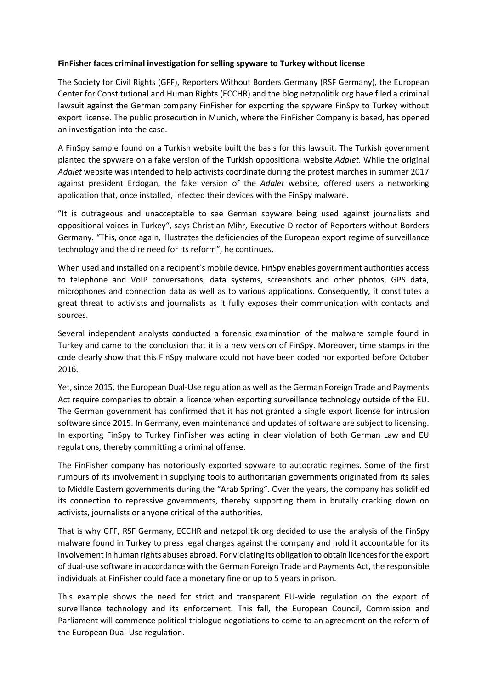## **FinFisher faces criminal investigation for selling spyware to Turkey without license**

The Society for Civil Rights (GFF), Reporters Without Borders Germany (RSF Germany), the European Center for Constitutional and Human Rights (ECCHR) and the blog netzpolitik.org have filed a criminal lawsuit against the German company FinFisher for exporting the spyware FinSpy to Turkey without export license. The public prosecution in Munich, where the FinFisher Company is based, has opened an investigation into the case.

A FinSpy sample found on a Turkish website built the basis for this lawsuit. The Turkish government planted the spyware on a fake version of the Turkish oppositional website *Adalet*. While the original *Adalet* website was intended to help activists coordinate during the protest marches in summer 2017 against president Erdogan, the fake version of the *Adalet* website, offered users a networking application that, once installed, infected their devices with the FinSpy malware.

"It is outrageous and unacceptable to see German spyware being used against journalists and oppositional voices in Turkey", says Christian Mihr, Executive Director of Reporters without Borders Germany. "This, once again, illustrates the deficiencies of the European export regime of surveillance technology and the dire need for its reform", he continues.

When used and installed on a recipient's mobile device, FinSpy enables government authorities access to telephone and VoIP conversations, data systems, screenshots and other photos, GPS data, microphones and connection data as well as to various applications. Consequently, it constitutes a great threat to activists and journalists as it fully exposes their communication with contacts and sources.

Several independent analysts conducted a forensic examination of the malware sample found in Turkey and came to the conclusion that it is a new version of FinSpy. Moreover, time stamps in the code clearly show that this FinSpy malware could not have been coded nor exported before October 2016.

Yet, since 2015, the European Dual-Use regulation as well as the German Foreign Trade and Payments Act require companies to obtain a licence when exporting surveillance technology outside of the EU. The German government has confirmed that it has not granted a single export license for intrusion software since 2015. In Germany, even maintenance and updates of software are subject to licensing. In exporting FinSpy to Turkey FinFisher was acting in clear violation of both German Law and EU regulations, thereby committing a criminal offense.

The FinFisher company has notoriously exported spyware to autocratic regimes. Some of the first rumours of its involvement in supplying tools to authoritarian governments originated from its sales to Middle Eastern governments during the "Arab Spring". Over the years, the company has solidified its connection to repressive governments, thereby supporting them in brutally cracking down on activists, journalists or anyone critical of the authorities.

That is why GFF, RSF Germany, ECCHR and netzpolitik.org decided to use the analysis of the FinSpy malware found in Turkey to press legal charges against the company and hold it accountable for its involvement in human rights abuses abroad. For violating its obligation to obtain licences for the export of dual-use software in accordance with the German Foreign Trade and Payments Act, the responsible individuals at FinFisher could face a monetary fine or up to 5 years in prison.

This example shows the need for strict and transparent EU-wide regulation on the export of surveillance technology and its enforcement. This fall, the European Council, Commission and Parliament will commence political trialogue negotiations to come to an agreement on the reform of the European Dual-Use regulation.